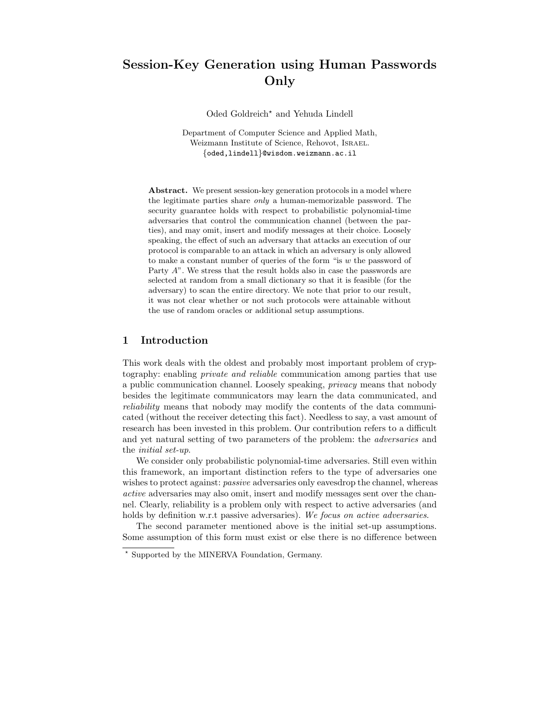# Session-Key Generation using Human Passwords Only

Oded Goldreich<sup>\*</sup> and Yehuda Lindell

Department of Computer Science and Applied Math, Weizmann Institute of Science, Rehovot, Israel. {oded,lindell}@wisdom.weizmann.ac.il

Abstract. We present session-key generation protocols in a model where the legitimate parties share only a human-memorizable password. The security guarantee holds with respect to probabilistic polynomial-time adversaries that control the communication channel (between the parties), and may omit, insert and modify messages at their choice. Loosely speaking, the effect of such an adversary that attacks an execution of our protocol is comparable to an attack in which an adversary is only allowed to make a constant number of queries of the form "is  $w$  the password of Party A". We stress that the result holds also in case the passwords are selected at random from a small dictionary so that it is feasible (for the adversary) to scan the entire directory. We note that prior to our result, it was not clear whether or not such protocols were attainable without the use of random oracles or additional setup assumptions.

# 1 Introduction

This work deals with the oldest and probably most important problem of cryptography: enabling private and reliable communication among parties that use a public communication channel. Loosely speaking, privacy means that nobody besides the legitimate communicators may learn the data communicated, and reliability means that nobody may modify the contents of the data communicated (without the receiver detecting this fact). Needless to say, a vast amount of research has been invested in this problem. Our contribution refers to a difficult and yet natural setting of two parameters of the problem: the adversaries and the initial set-up.

We consider only probabilistic polynomial-time adversaries. Still even within this framework, an important distinction refers to the type of adversaries one wishes to protect against: *passive* adversaries only eavesdrop the channel, whereas active adversaries may also omit, insert and modify messages sent over the channel. Clearly, reliability is a problem only with respect to active adversaries (and holds by definition w.r.t passive adversaries). We focus on active adversaries.

The second parameter mentioned above is the initial set-up assumptions. Some assumption of this form must exist or else there is no difference between

<sup>?</sup> Supported by the MINERVA Foundation, Germany.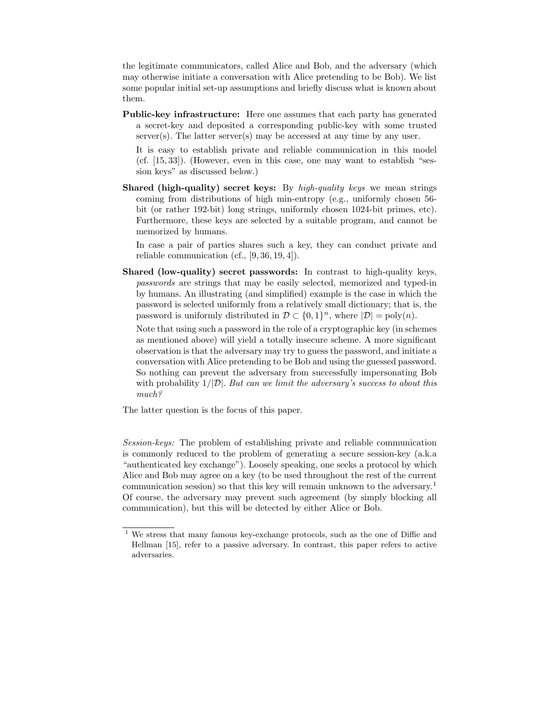the legitimate communicators, called Alice and Bob, and the adversary (which may otherwise initiate a conversation with Alice pretending to be Bob). We list some popular initial set-up assumptions and briefly discuss what is known about them.

Public-key infrastructure: Here one assumes that each party has generated a secret-key and deposited a corresponding public-key with some trusted  $s$ erver(s). The latter server(s) may be accessed at any time by any user.

It is easy to establish private and reliable communication in this model (cf. [15, 33]). (However, even in this case, one may want to establish "session keys" as discussed below.)

Shared (high-quality) secret keys: By high-quality keys we mean strings coming from distributions of high min-entropy (e.g., uniformly chosen 56 bit (or rather 192-bit) long strings, uniformly chosen 1024-bit primes, etc). Furthermore, these keys are selected by a suitable program, and cannot be memorized by humans.

In case a pair of parties shares such a key, they can conduct private and reliable communication (cf., [9, 36, 19, 4]).

Shared (low-quality) secret passwords: In contrast to high-quality keys, passwords are strings that may be easily selected, memorized and typed-in by humans. An illustrating (and simplified) example is the case in which the password is selected uniformly from a relatively small dictionary; that is, the password is uniformly distributed in  $\mathcal{D} \subset \{0,1\}^n$ , where  $|\mathcal{D}| = \text{poly}(n)$ .

Note that using such a password in the role of a cryptographic key (in schemes as mentioned above) will yield a totally insecure scheme. A more significant observation is that the adversary may try to guess the password, and initiate a conversation with Alice pretending to be Bob and using the guessed password. So nothing can prevent the adversary from successfully impersonating Bob with probability  $1/|\mathcal{D}|$ . But can we limit the adversary's success to about this much?

The latter question is the focus of this paper.

Session-keys: The problem of establishing private and reliable communication is commonly reduced to the problem of generating a secure session-key (a.k.a "authenticated key exchange"). Loosely speaking, one seeks a protocol by which Alice and Bob may agree on a key (to be used throughout the rest of the current communication session) so that this key will remain unknown to the adversary. 1 Of course, the adversary may prevent such agreement (by simply blocking all communication), but this will be detected by either Alice or Bob.

<sup>1</sup> We stress that many famous key-exchange protocols, such as the one of Diffie and Hellman [15], refer to a passive adversary. In contrast, this paper refers to active adversaries.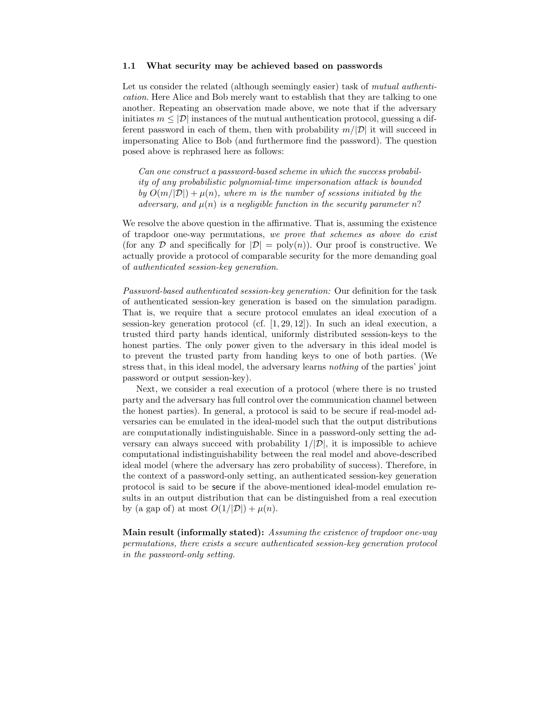#### 1.1 What security may be achieved based on passwords

Let us consider the related (although seemingly easier) task of *mutual authenti*cation. Here Alice and Bob merely want to establish that they are talking to one another. Repeating an observation made above, we note that if the adversary initiates  $m \lt |\mathcal{D}|$  instances of the mutual authentication protocol, guessing a different password in each of them, then with probability  $m/|\mathcal{D}|$  it will succeed in impersonating Alice to Bob (and furthermore find the password). The question posed above is rephrased here as follows:

Can one construct a password-based scheme in which the success probability of any probabilistic polynomial-time impersonation attack is bounded by  $O(m/|\mathcal{D}|) + \mu(n)$ , where m is the number of sessions initiated by the adversary, and  $\mu(n)$  is a negligible function in the security parameter n?

We resolve the above question in the affirmative. That is, assuming the existence of trapdoor one-way permutations, we prove that schemes as above do exist (for any D and specifically for  $|\mathcal{D}| = \text{poly}(n)$ ). Our proof is constructive. We actually provide a protocol of comparable security for the more demanding goal of authenticated session-key generation.

Password-based authenticated session-key generation: Our definition for the task of authenticated session-key generation is based on the simulation paradigm. That is, we require that a secure protocol emulates an ideal execution of a session-key generation protocol (cf. [1, 29, 12]). In such an ideal execution, a trusted third party hands identical, uniformly distributed session-keys to the honest parties. The only power given to the adversary in this ideal model is to prevent the trusted party from handing keys to one of both parties. (We stress that, in this ideal model, the adversary learns nothing of the parties' joint password or output session-key).

Next, we consider a real execution of a protocol (where there is no trusted party and the adversary has full control over the communication channel between the honest parties). In general, a protocol is said to be secure if real-model adversaries can be emulated in the ideal-model such that the output distributions are computationally indistinguishable. Since in a password-only setting the adversary can always succeed with probability  $1/|\mathcal{D}|$ , it is impossible to achieve computational indistinguishability between the real model and above-described ideal model (where the adversary has zero probability of success). Therefore, in the context of a password-only setting, an authenticated session-key generation protocol is said to be secure if the above-mentioned ideal-model emulation results in an output distribution that can be distinguished from a real execution by (a gap of) at most  $O(1/|\mathcal{D}|) + \mu(n)$ .

Main result (informally stated): Assuming the existence of trapdoor one-way permutations, there exists a secure authenticated session-key generation protocol in the password-only setting.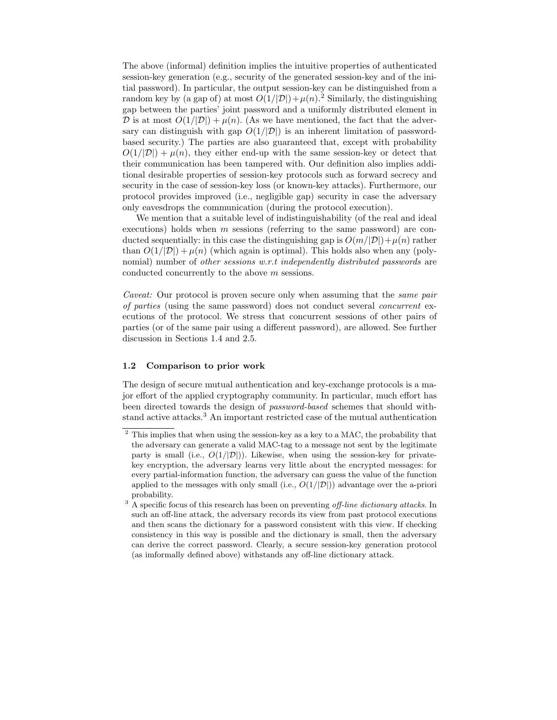The above (informal) definition implies the intuitive properties of authenticated session-key generation (e.g., security of the generated session-key and of the initial password). In particular, the output session-key can be distinguished from a random key by (a gap of) at most  $O(1/|\mathcal{D}|)+\mu(n)$ .<sup>2</sup> Similarly, the distinguishing gap between the parties' joint password and a uniformly distributed element in D is at most  $O(1/|\mathcal{D}|) + \mu(n)$ . (As we have mentioned, the fact that the adversary can distinguish with gap  $O(1/|\mathcal{D}|)$  is an inherent limitation of passwordbased security.) The parties are also guaranteed that, except with probability  $O(1/|\mathcal{D}|) + \mu(n)$ , they either end-up with the same session-key or detect that their communication has been tampered with. Our definition also implies additional desirable properties of session-key protocols such as forward secrecy and security in the case of session-key loss (or known-key attacks). Furthermore, our protocol provides improved (i.e., negligible gap) security in case the adversary only eavesdrops the communication (during the protocol execution).

We mention that a suitable level of indistinguishability (of the real and ideal executions) holds when  $m$  sessions (referring to the same password) are conducted sequentially: in this case the distinguishing gap is  $O(m/|\mathcal{D}|)+\mu(n)$  rather than  $O(1/|\mathcal{D}|) + \mu(n)$  (which again is optimal). This holds also when any (polynomial) number of *other sessions w.r.t independently distributed passwords* are conducted concurrently to the above m sessions.

Caveat: Our protocol is proven secure only when assuming that the same pair of parties (using the same password) does not conduct several concurrent executions of the protocol. We stress that concurrent sessions of other pairs of parties (or of the same pair using a different password), are allowed. See further discussion in Sections 1.4 and 2.5.

## 1.2 Comparison to prior work

The design of secure mutual authentication and key-exchange protocols is a major effort of the applied cryptography community. In particular, much effort has been directed towards the design of password-based schemes that should withstand active attacks.<sup>3</sup> An important restricted case of the mutual authentication

<sup>&</sup>lt;sup>2</sup> This implies that when using the session-key as a key to a MAC, the probability that the adversary can generate a valid MAC-tag to a message not sent by the legitimate party is small (i.e.,  $O(1/|\mathcal{D}|)$ ). Likewise, when using the session-key for privatekey encryption, the adversary learns very little about the encrypted messages: for every partial-information function, the adversary can guess the value of the function applied to the messages with only small (i.e.,  $O(1/|\mathcal{D}|)$ ) advantage over the a-priori probability.

 $3\,$  A specific focus of this research has been on preventing *off-line dictionary attacks*. In such an off-line attack, the adversary records its view from past protocol executions and then scans the dictionary for a password consistent with this view. If checking consistency in this way is possible and the dictionary is small, then the adversary can derive the correct password. Clearly, a secure session-key generation protocol (as imformally defined above) withstands any off-line dictionary attack.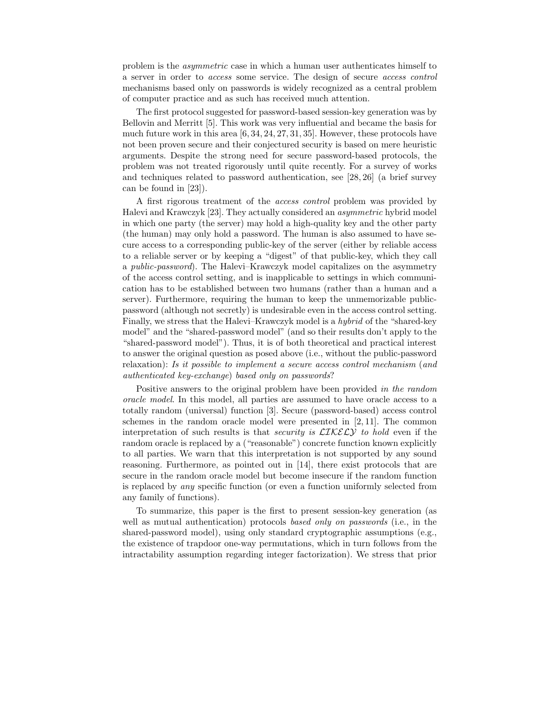problem is the asymmetric case in which a human user authenticates himself to a server in order to access some service. The design of secure access control mechanisms based only on passwords is widely recognized as a central problem of computer practice and as such has received much attention.

The first protocol suggested for password-based session-key generation was by Bellovin and Merritt [5]. This work was very influential and became the basis for much future work in this area  $[6, 34, 24, 27, 31, 35]$ . However, these protocols have not been proven secure and their conjectured security is based on mere heuristic arguments. Despite the strong need for secure password-based protocols, the problem was not treated rigorously until quite recently. For a survey of works and techniques related to password authentication, see [28, 26] (a brief survey can be found in [23]).

A first rigorous treatment of the access control problem was provided by Halevi and Krawczyk [23]. They actually considered an asymmetric hybrid model in which one party (the server) may hold a high-quality key and the other party (the human) may only hold a password. The human is also assumed to have secure access to a corresponding public-key of the server (either by reliable access to a reliable server or by keeping a "digest" of that public-key, which they call a public-password). The Halevi–Krawczyk model capitalizes on the asymmetry of the access control setting, and is inapplicable to settings in which communication has to be established between two humans (rather than a human and a server). Furthermore, requiring the human to keep the unmemorizable publicpassword (although not secretly) is undesirable even in the access control setting. Finally, we stress that the Halevi–Krawczyk model is a hybrid of the "shared-key model" and the "shared-password model" (and so their results don't apply to the "shared-password model"). Thus, it is of both theoretical and practical interest to answer the original question as posed above (i.e., without the public-password relaxation): Is it possible to implement a secure access control mechanism (and authenticated key-exchange) based only on passwords?

Positive answers to the original problem have been provided in the random oracle model. In this model, all parties are assumed to have oracle access to a totally random (universal) function [3]. Secure (password-based) access control schemes in the random oracle model were presented in [2, 11]. The common interpretation of such results is that *security is*  $\mathcal{L} \mathcal{I} \mathcal{K} \mathcal{E} \mathcal{L} \mathcal{Y}$  to hold even if the random oracle is replaced by a ("reasonable") concrete function known explicitly to all parties. We warn that this interpretation is not supported by any sound reasoning. Furthermore, as pointed out in [14], there exist protocols that are secure in the random oracle model but become insecure if the random function is replaced by any specific function (or even a function uniformly selected from any family of functions).

To summarize, this paper is the first to present session-key generation (as well as mutual authentication) protocols based only on passwords (i.e., in the shared-password model), using only standard cryptographic assumptions (e.g., the existence of trapdoor one-way permutations, which in turn follows from the intractability assumption regarding integer factorization). We stress that prior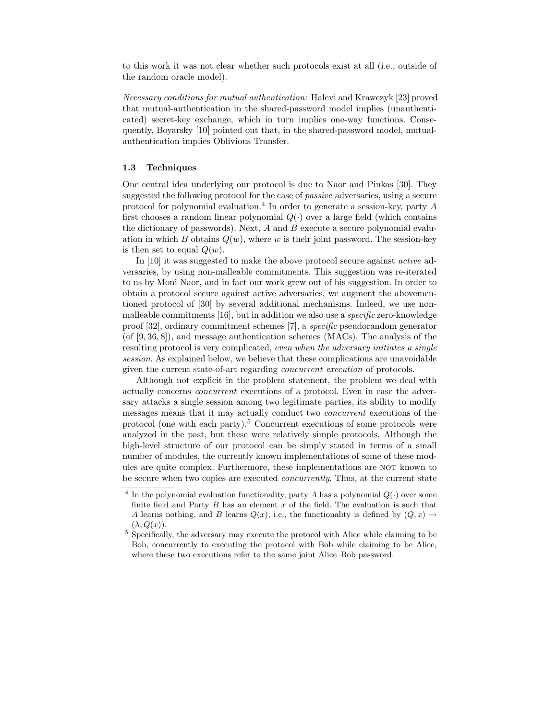to this work it was not clear whether such protocols exist at all (i.e., outside of the random oracle model).

Necessary conditions for mutual authentication: Halevi and Krawczyk [23] proved that mutual-authentication in the shared-password model implies (unauthenticated) secret-key exchange, which in turn implies one-way functions. Consequently, Boyarsky [10] pointed out that, in the shared-password model, mutualauthentication implies Oblivious Transfer.

#### 1.3 Techniques

One central idea underlying our protocol is due to Naor and Pinkas [30]. They suggested the following protocol for the case of passive adversaries, using a secure protocol for polynomial evaluation.<sup>4</sup> In order to generate a session-key, party A first chooses a random linear polynomial  $Q(\cdot)$  over a large field (which contains the dictionary of passwords). Next,  $A$  and  $B$  execute a secure polynomial evaluation in which B obtains  $Q(w)$ , where w is their joint password. The session-key is then set to equal  $Q(w)$ .

In [10] it was suggested to make the above protocol secure against active adversaries, by using non-malleable commitments. This suggestion was re-iterated to us by Moni Naor, and in fact our work grew out of his suggestion. In order to obtain a protocol secure against active adversaries, we augment the abovementioned protocol of [30] by several additional mechanisms. Indeed, we use nonmalleable commitments [16], but in addition we also use a specific zero-knowledge proof [32], ordinary commitment schemes [7], a specific pseudorandom generator (of [9, 36, 8]), and message authentication schemes (MACs). The analysis of the resulting protocol is very complicated, even when the adversary initiates a single session. As explained below, we believe that these complications are unavoidable given the current state-of-art regarding concurrent execution of protocols.

Although not explicit in the problem statement, the problem we deal with actually concerns concurrent executions of a protocol. Even in case the adversary attacks a single session among two legitimate parties, its ability to modify messages means that it may actually conduct two concurrent executions of the protocol (one with each party).<sup>5</sup> Concurrent executions of some protocols were analyzed in the past, but these were relatively simple protocols. Although the high-level structure of our protocol can be simply stated in terms of a small number of modules, the currently known implementations of some of these modules are quite complex. Furthermore, these implementations are NOT known to be secure when two copies are executed concurrently. Thus, at the current state

<sup>&</sup>lt;sup>4</sup> In the polynomial evaluation functionality, party A has a polynomial  $Q(\cdot)$  over some finite field and Party  $B$  has an element  $x$  of the field. The evaluation is such that A learns nothing, and B learns  $Q(x)$ ; i.e., the functionality is defined by  $(Q, x) \mapsto$  $(\lambda, Q(x)).$ 

<sup>&</sup>lt;sup>5</sup> Specifically, the adversary may execute the protocol with Alice while claiming to be Bob, concurrently to executing the protocol with Bob while claiming to be Alice, where these two executions refer to the same joint Alice–Bob password.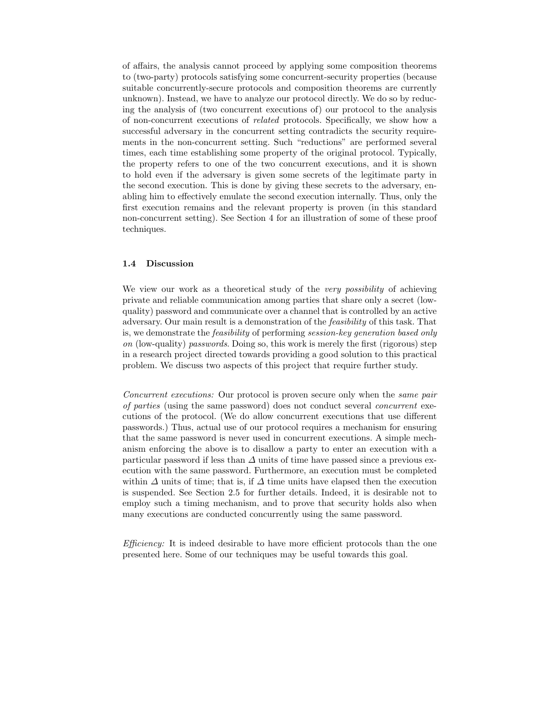of affairs, the analysis cannot proceed by applying some composition theorems to (two-party) protocols satisfying some concurrent-security properties (because suitable concurrently-secure protocols and composition theorems are currently unknown). Instead, we have to analyze our protocol directly. We do so by reducing the analysis of (two concurrent executions of) our protocol to the analysis of non-concurrent executions of related protocols. Specifically, we show how a successful adversary in the concurrent setting contradicts the security requirements in the non-concurrent setting. Such "reductions" are performed several times, each time establishing some property of the original protocol. Typically, the property refers to one of the two concurrent executions, and it is shown to hold even if the adversary is given some secrets of the legitimate party in the second execution. This is done by giving these secrets to the adversary, enabling him to effectively emulate the second execution internally. Thus, only the first execution remains and the relevant property is proven (in this standard non-concurrent setting). See Section 4 for an illustration of some of these proof techniques.

## 1.4 Discussion

We view our work as a theoretical study of the *very possibility* of achieving private and reliable communication among parties that share only a secret (lowquality) password and communicate over a channel that is controlled by an active adversary. Our main result is a demonstration of the feasibility of this task. That is, we demonstrate the feasibility of performing session-key generation based only on (low-quality) passwords. Doing so, this work is merely the first (rigorous) step in a research project directed towards providing a good solution to this practical problem. We discuss two aspects of this project that require further study.

Concurrent executions: Our protocol is proven secure only when the same pair of parties (using the same password) does not conduct several concurrent executions of the protocol. (We do allow concurrent executions that use different passwords.) Thus, actual use of our protocol requires a mechanism for ensuring that the same password is never used in concurrent executions. A simple mechanism enforcing the above is to disallow a party to enter an execution with a particular password if less than  $\Delta$  units of time have passed since a previous execution with the same password. Furthermore, an execution must be completed within  $\Delta$  units of time; that is, if  $\Delta$  time units have elapsed then the execution is suspended. See Section 2.5 for further details. Indeed, it is desirable not to employ such a timing mechanism, and to prove that security holds also when many executions are conducted concurrently using the same password.

Efficiency: It is indeed desirable to have more efficient protocols than the one presented here. Some of our techniques may be useful towards this goal.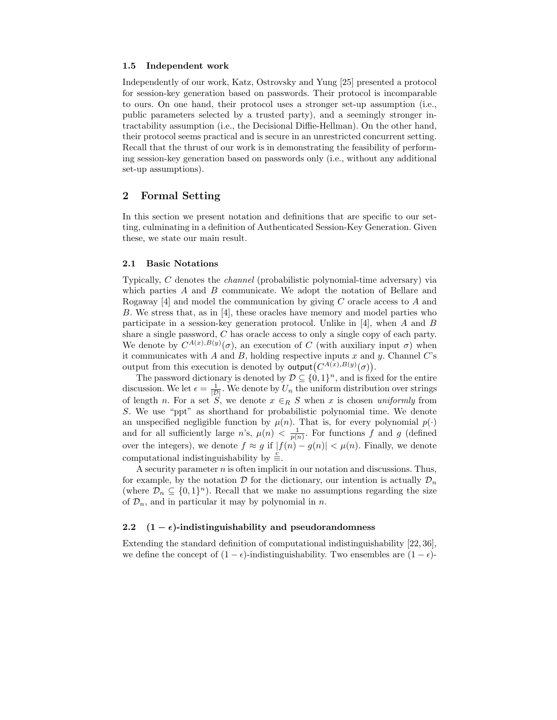# 1.5 Independent work

Independently of our work, Katz, Ostrovsky and Yung [25] presented a protocol for session-key generation based on passwords. Their protocol is incomparable to ours. On one hand, their protocol uses a stronger set-up assumption (i.e., public parameters selected by a trusted party), and a seemingly stronger intractability assumption (i.e., the Decisional Diffie-Hellman). On the other hand, their protocol seems practical and is secure in an unrestricted concurrent setting. Recall that the thrust of our work is in demonstrating the feasibility of performing session-key generation based on passwords only (i.e., without any additional set-up assumptions).

# 2 Formal Setting

In this section we present notation and definitions that are specific to our setting, culminating in a definition of Authenticated Session-Key Generation. Given these, we state our main result.

## 2.1 Basic Notations

Typically, C denotes the channel (probabilistic polynomial-time adversary) via which parties A and B communicate. We adopt the notation of Bellare and Rogaway  $|4|$  and model the communication by giving C oracle access to A and B. We stress that, as in [4], these oracles have memory and model parties who participate in a session-key generation protocol. Unlike in  $[4]$ , when A and B share a single password, C has oracle access to only a single copy of each party. We denote by  $C^{A(x),B(y)}(\sigma)$ , an execution of C (with auxiliary input  $\sigma$ ) when it communicates with A and B, holding respective inputs x and y. Channel  $C$ 's output from this execution is denoted by **output** $(C^{A(x),B(y)}(\sigma))$ .

The password dictionary is denoted by  $\mathcal{D} \subseteq \{0,1\}^n$ , and is fixed for the entire discussion. We let  $\epsilon = \frac{1}{|D|}$ . We denote by  $U_n$  the uniform distribution over strings of length n. For a set S, we denote  $x \in_R S$  when x is chosen uniformly from S. We use "ppt" as shorthand for probabilistic polynomial time. We denote an unspecified negligible function by  $\mu(n)$ . That is, for every polynomial  $p(\cdot)$ and for all sufficiently large n's,  $\mu(n) < \frac{1}{p(n)}$ . For functions f and g (defined over the integers), we denote  $f \approx g$  if  $|f(n) - g(n)| < \mu(n)$ . Finally, we denote computational indistinguishability by  $\stackrel{c}{\equiv}$ .

A security parameter  $n$  is often implicit in our notation and discussions. Thus, for example, by the notation  $\mathcal D$  for the dictionary, our intention is actually  $\mathcal D_n$ (where  $\mathcal{D}_n \subseteq \{0,1\}^n$ ). Recall that we make no assumptions regarding the size of  $\mathcal{D}_n$ , and in particular it may by polynomial in n.

# 2.2 (1 –  $\epsilon$ )-indistinguishability and pseudorandomness

Extending the standard definition of computational indistinguishability [22, 36], we define the concept of  $(1 - \epsilon)$ -indistinguishability. Two ensembles are  $(1 - \epsilon)$ -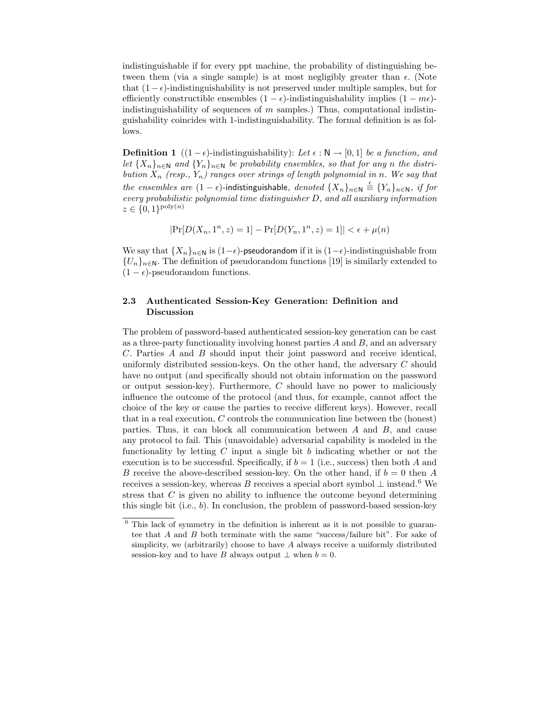indistinguishable if for every ppt machine, the probability of distinguishing between them (via a single sample) is at most negligibly greater than  $\epsilon$ . (Note that  $(1 - \epsilon)$ -indistinguishability is not preserved under multiple samples, but for efficiently constructible ensembles  $(1 - \epsilon)$ -indistinguishability implies  $(1 - me)$ indistinguishability of sequences of  $m$  samples.) Thus, computational indistinguishability coincides with 1-indistinguishability. The formal definition is as follows.

**Definition 1** ((1 −  $\epsilon$ )-indistinguishability): Let  $\epsilon$  : N → [0, 1] be a function, and let  ${X_n}_{n\in\mathbb{N}}$  and  ${Y_n}_{n\in\mathbb{N}}$  be probability ensembles, so that for any n the distribution  $X_n$  (resp.,  $Y_n$ ) ranges over strings of length polynomial in n. We say that the ensembles are  $(1 - \epsilon)$ -indistinguishable, denoted  $\{X_n\}_{n \in \mathbb{N}} \triangleq \{Y_n\}_{n \in \mathbb{N}}$ , if for every probabilistic polynomial time distinguisher D, and all auxiliary information  $z \in \{0,1\}^{\text{poly}(n)}$ 

$$
|\Pr[D(X_n, 1^n, z) = 1] - \Pr[D(Y_n, 1^n, z) = 1]| < \epsilon + \mu(n)
$$

We say that  $\{X_n\}_{n\in\mathbb{N}}$  is  $(1-\epsilon)$ -pseudorandom if it is  $(1-\epsilon)$ -indistinguishable from  ${U_n}_{n\in\mathbb{N}}$ . The definition of pseudorandom functions [19] is similarly extended to  $(1 - \epsilon)$ -pseudorandom functions.

# 2.3 Authenticated Session-Key Generation: Definition and Discussion

The problem of password-based authenticated session-key generation can be cast as a three-party functionality involving honest parties  $A$  and  $B$ , and an adversary C. Parties A and B should input their joint password and receive identical, uniformly distributed session-keys. On the other hand, the adversary  $C$  should have no output (and specifically should not obtain information on the password or output session-key). Furthermore,  $C$  should have no power to maliciously influence the outcome of the protocol (and thus, for example, cannot affect the choice of the key or cause the parties to receive different keys). However, recall that in a real execution, C controls the communication line between the (honest) parties. Thus, it can block all communication between A and B, and cause any protocol to fail. This (unavoidable) adversarial capability is modeled in the functionality by letting  $C$  input a single bit  $b$  indicating whether or not the execution is to be successful. Specifically, if  $b = 1$  (i.e., success) then both A and B receive the above-described session-key. On the other hand, if  $b = 0$  then A receives a session-key, whereas B receives a special abort symbol  $\perp$  instead.<sup>6</sup> We stress that  $C$  is given no ability to influence the outcome beyond determining this single bit (i.e., b). In conclusion, the problem of password-based session-key

 $^6$  This lack of symmetry in the definition is inherent as it is not possible to guarantee that A and B both terminate with the same "success/failure bit". For sake of simplicity, we (arbitrarily) choose to have  $A$  always receive a uniformly distributed session-key and to have B always output  $\perp$  when  $b = 0$ .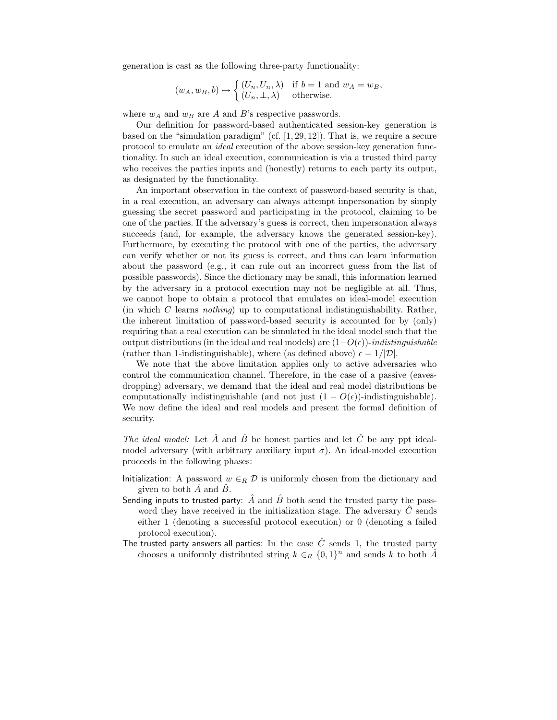generation is cast as the following three-party functionality:

$$
(w_A, w_B, b) \mapsto \begin{cases} (U_n, U_n, \lambda) & \text{if } b = 1 \text{ and } w_A = w_B, \\ (U_n, \perp, \lambda) & \text{otherwise.} \end{cases}
$$

where  $w_A$  and  $w_B$  are A and B's respective passwords.

Our definition for password-based authenticated session-key generation is based on the "simulation paradigm" (cf.  $[1, 29, 12]$ ). That is, we require a secure protocol to emulate an ideal execution of the above session-key generation functionality. In such an ideal execution, communication is via a trusted third party who receives the parties inputs and (honestly) returns to each party its output, as designated by the functionality.

An important observation in the context of password-based security is that, in a real execution, an adversary can always attempt impersonation by simply guessing the secret password and participating in the protocol, claiming to be one of the parties. If the adversary's guess is correct, then impersonation always succeeds (and, for example, the adversary knows the generated session-key). Furthermore, by executing the protocol with one of the parties, the adversary can verify whether or not its guess is correct, and thus can learn information about the password (e.g., it can rule out an incorrect guess from the list of possible passwords). Since the dictionary may be small, this information learned by the adversary in a protocol execution may not be negligible at all. Thus, we cannot hope to obtain a protocol that emulates an ideal-model execution (in which C learns *nothing*) up to computational indistinguishability. Rather, the inherent limitation of password-based security is accounted for by (only) requiring that a real execution can be simulated in the ideal model such that the output distributions (in the ideal and real models) are  $(1-O(\epsilon))$ -indistinguishable (rather than 1-indistinguishable), where (as defined above)  $\epsilon = 1/|\mathcal{D}|$ .

We note that the above limitation applies only to active adversaries who control the communication channel. Therefore, in the case of a passive (eavesdropping) adversary, we demand that the ideal and real model distributions be computationally indistinguishable (and not just  $(1 - O(\epsilon))$ -indistinguishable). We now define the ideal and real models and present the formal definition of security.

The ideal model: Let  $\hat{A}$  and  $\hat{B}$  be honest parties and let  $\hat{C}$  be any ppt idealmodel adversary (with arbitrary auxiliary input  $\sigma$ ). An ideal-model execution proceeds in the following phases:

Initialization: A password  $w \in_R \mathcal{D}$  is uniformly chosen from the dictionary and given to both  $\hat{A}$  and  $\hat{B}$ .

- Sending inputs to trusted party:  $\hat{A}$  and  $\hat{B}$  both send the trusted party the password they have received in the initialization stage. The adversary  $\ddot{C}$  sends either 1 (denoting a successful protocol execution) or 0 (denoting a failed protocol execution).
- The trusted party answers all parties: In the case  $\hat{C}$  sends 1, the trusted party chooses a uniformly distributed string  $k \in_R \{0,1\}^n$  and sends k to both  $\hat{A}$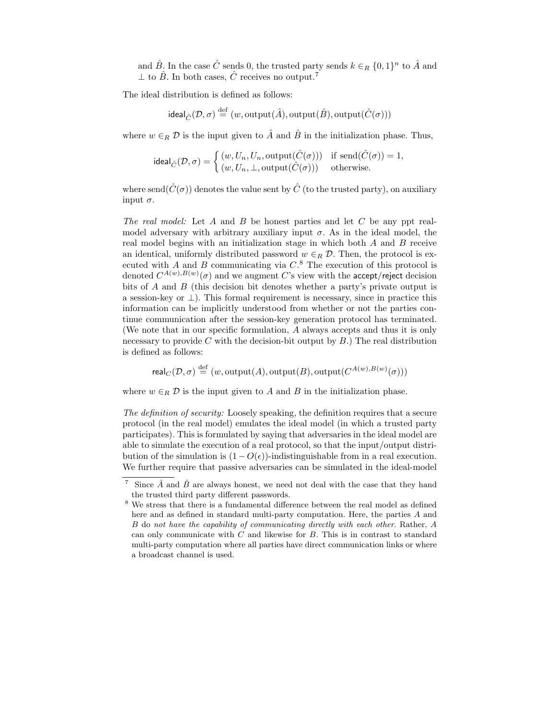and  $\hat{B}$ . In the case  $\hat{C}$  sends 0, the trusted party sends  $k \in_R \{0,1\}^n$  to  $\hat{A}$  and  $\perp$  to  $\hat{B}$ . In both cases,  $\hat{C}$  receives no output.<sup>7</sup>

The ideal distribution is defined as follows:

ideal $_{\hat{C}}(\mathcal{D}, \sigma) \stackrel{\rm def}{=} (w, \operatorname{output}(\hat{A}), \operatorname{output}(\hat{B}), \operatorname{output}(\hat{C}(\sigma)))$ 

where  $w \in_R \mathcal{D}$  is the input given to  $\hat{A}$  and  $\hat{B}$  in the initialization phase. Thus,

$$
\mathsf{ideal}_{\hat{C}}(\mathcal{D}, \sigma) = \left\{ \begin{matrix} (w, U_n, U_n, \mathsf{output}(\hat{C}(\sigma))) & \text{if } \mathsf{send}(\hat{C}(\sigma)) = 1, \\ (w, U_n, \bot, \mathsf{output}(\hat{C}(\sigma))) & \text{otherwise.} \end{matrix} \right.
$$

where send $(\hat{C}(\sigma))$  denotes the value sent by  $\hat{C}$  (to the trusted party), on auxiliary input  $\sigma$ .

The real model: Let A and B be honest parties and let C be any ppt realmodel adversary with arbitrary auxiliary input  $\sigma$ . As in the ideal model, the real model begins with an initialization stage in which both  $A$  and  $B$  receive an identical, uniformly distributed password  $w \in_R \mathcal{D}$ . Then, the protocol is executed with A and B communicating via  $C<sup>8</sup>$ . The execution of this protocol is denoted  $C^{A(w),B(w)}(\sigma)$  and we augment  $C$ 's view with the accept/reject decision bits of A and B (this decision bit denotes whether a party's private output is a session-key or  $\perp$ ). This formal requirement is necessary, since in practice this information can be implicitly understood from whether or not the parties continue communication after the session-key generation protocol has terminated. (We note that in our specific formulation, A always accepts and thus it is only necessary to provide  $C$  with the decision-bit output by  $B$ .) The real distribution is defined as follows:

$$
\mathsf{real}_C(\mathcal{D}, \sigma) \stackrel{\text{def}}{=} (w, \text{output}(A), \text{output}(B), \text{output}(C^{A(w), B(w)}(\sigma)))
$$

where  $w \in_R \mathcal{D}$  is the input given to A and B in the initialization phase.

The definition of security: Loosely speaking, the definition requires that a secure protocol (in the real model) emulates the ideal model (in which a trusted party participates). This is formulated by saying that adversaries in the ideal model are able to simulate the execution of a real protocol, so that the input/output distribution of the simulation is  $(1 - O(\epsilon))$ -indistinguishable from in a real execution. We further require that passive adversaries can be simulated in the ideal-model

Since  $\hat{A}$  and  $\hat{B}$  are always honest, we need not deal with the case that they hand the trusted third party different passwords.

 $8$  We stress that there is a fundamental difference between the real model as defined here and as defined in standard multi-party computation. Here, the parties A and B do not have the capability of communicating directly with each other. Rather, A can only communicate with C and likewise for B. This is in contrast to standard multi-party computation where all parties have direct communication links or where a broadcast channel is used.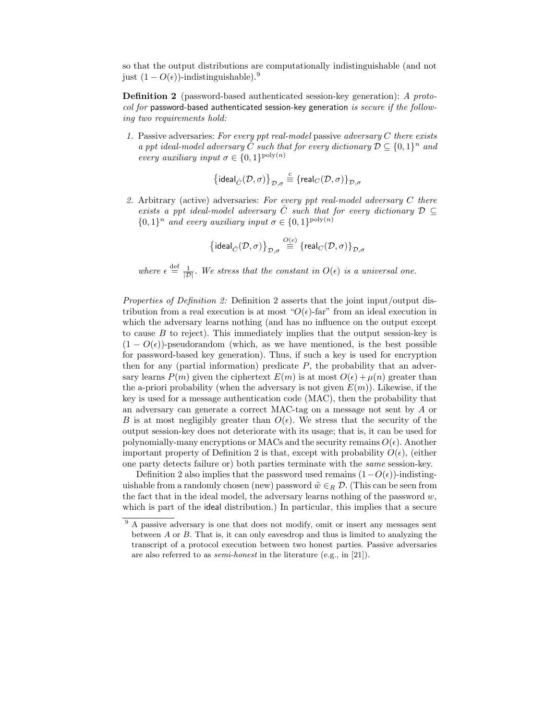so that the output distributions are computationally indistinguishable (and not just  $(1 - O(ε))$ -indistinguishable).<sup>9</sup>

Definition 2 (password-based authenticated session-key generation): A protocol for password-based authenticated session-key generation is secure if the following two requirements hold:

1. Passive adversaries: For every ppt real-model passive adversary  $C$  there exists a ppt ideal-model adversary  $\hat{C}$  such that for every dictionary  $\mathcal{D} \subseteq \{0,1\}^n$  and every auxiliary input  $\sigma \in \{0,1\}^{\text{poly}(n)}$ 

$$
\big\{\mathsf{ideal}_{\hat{C}}(\mathcal{D},\sigma)\big\}_{\mathcal{D},\sigma} \stackrel{\text{c}}{=} \{\mathsf{real}_C(\mathcal{D},\sigma)\}_{\mathcal{D},\sigma}
$$

2. Arbitrary (active) adversaries: For every ppt real-model adversary  $C$  there exists a ppt ideal-model adversary C such that for every dictionary  $\mathcal{D} \subseteq$  $\{0,1\}^n$  and every auxiliary input  $\sigma \in \{0,1\}^{\text{poly}(n)}$ 

$$
\big\{\mathsf{ideal}_{\hat{C}}(\mathcal{D},\sigma)\big\}_{\mathcal{D},\sigma} \overset{O(\epsilon)}{\equiv} \{\mathsf{real}_C(\mathcal{D},\sigma)\}_{\mathcal{D},\sigma}
$$

where  $\epsilon \stackrel{\text{def}}{=} \frac{1}{|D|}$ . We stress that the constant in  $O(\epsilon)$  is a universal one.

Properties of Definition 2: Definition 2 asserts that the joint input/output distribution from a real execution is at most " $O(\epsilon)$ -far" from an ideal execution in which the adversary learns nothing (and has no influence on the output except to cause  $B$  to reject). This immediately implies that the output session-key is  $(1 - O(\epsilon))$ -pseudorandom (which, as we have mentioned, is the best possible for password-based key generation). Thus, if such a key is used for encryption then for any (partial information) predicate  $P$ , the probability that an adversary learns  $P(m)$  given the ciphertext  $E(m)$  is at most  $O(\epsilon) + \mu(n)$  greater than the a-priori probability (when the adversary is not given  $E(m)$ ). Likewise, if the key is used for a message authentication code (MAC), then the probability that an adversary can generate a correct MAC-tag on a message not sent by A or B is at most negligibly greater than  $O(\epsilon)$ . We stress that the security of the output session-key does not deteriorate with its usage; that is, it can be used for polynomially-many encryptions or MACs and the security remains  $O(\epsilon)$ . Another important property of Definition 2 is that, except with probability  $O(\epsilon)$ , (either one party detects failure or) both parties terminate with the same session-key.

Definition 2 also implies that the password used remains  $(1-O(\epsilon))$ -indistinguishable from a randomly chosen (new) password  $\tilde{w} \in_R \mathcal{D}$ . (This can be seen from the fact that in the ideal model, the adversary learns nothing of the password  $w$ . which is part of the ideal distribution.) In particular, this implies that a secure

<sup>&</sup>lt;sup>9</sup> A passive adversary is one that does not modify, omit or insert any messages sent between A or B. That is, it can only eavesdrop and thus is limited to analyzing the transcript of a protocol execution between two honest parties. Passive adversaries are also referred to as semi-honest in the literature (e.g., in [21]).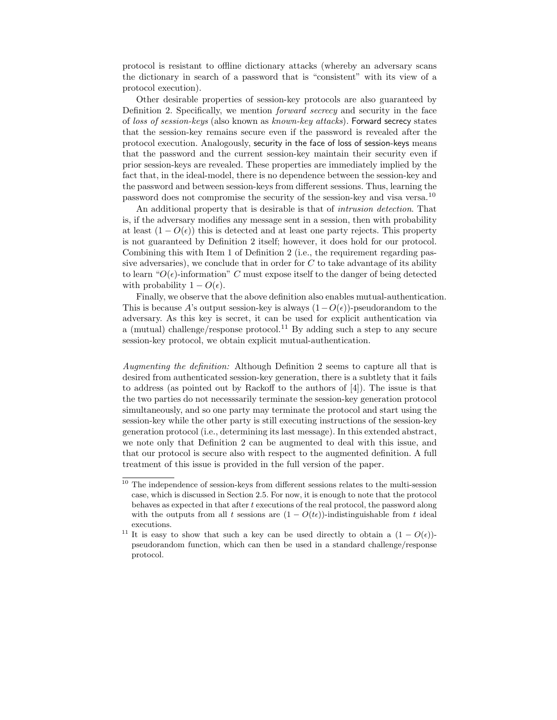protocol is resistant to offline dictionary attacks (whereby an adversary scans the dictionary in search of a password that is "consistent" with its view of a protocol execution).

Other desirable properties of session-key protocols are also guaranteed by Definition 2. Specifically, we mention forward secrecy and security in the face of loss of session-keys (also known as known-key attacks). Forward secrecy states that the session-key remains secure even if the password is revealed after the protocol execution. Analogously, security in the face of loss of session-keys means that the password and the current session-key maintain their security even if prior session-keys are revealed. These properties are immediately implied by the fact that, in the ideal-model, there is no dependence between the session-key and the password and between session-keys from different sessions. Thus, learning the password does not compromise the security of the session-key and visa versa.<sup>10</sup>

An additional property that is desirable is that of intrusion detection. That is, if the adversary modifies any message sent in a session, then with probability at least  $(1 - O(\epsilon))$  this is detected and at least one party rejects. This property is not guaranteed by Definition 2 itself; however, it does hold for our protocol. Combining this with Item 1 of Definition 2 (i.e., the requirement regarding passive adversaries), we conclude that in order for  $C$  to take advantage of its ability to learn " $O(\epsilon)$ -information" C must expose itself to the danger of being detected with probability  $1 - O(\epsilon)$ .

Finally, we observe that the above definition also enables mutual-authentication. This is because A's output session-key is always  $(1-O(\epsilon))$ -pseudorandom to the adversary. As this key is secret, it can be used for explicit authentication via a (mutual) challenge/response protocol.<sup>11</sup> By adding such a step to any secure session-key protocol, we obtain explicit mutual-authentication.

Augmenting the definition: Although Definition 2 seems to capture all that is desired from authenticated session-key generation, there is a subtlety that it fails to address (as pointed out by Rackoff to the authors of [4]). The issue is that the two parties do not necesssarily terminate the session-key generation protocol simultaneously, and so one party may terminate the protocol and start using the session-key while the other party is still executing instructions of the session-key generation protocol (i.e., determining its last message). In this extended abstract, we note only that Definition 2 can be augmented to deal with this issue, and that our protocol is secure also with respect to the augmented definition. A full treatment of this issue is provided in the full version of the paper.

 $^{\rm 10}$  The independence of session-keys from different sessions relates to the multi-session case, which is discussed in Section 2.5. For now, it is enough to note that the protocol behaves as expected in that after t executions of the real protocol, the password along with the outputs from all t sessions are  $(1 - O(t\epsilon))$ -indistinguishable from t ideal executions.

<sup>&</sup>lt;sup>11</sup> It is easy to show that such a key can be used directly to obtain a  $(1 - O(\epsilon))$ pseudorandom function, which can then be used in a standard challenge/response protocol.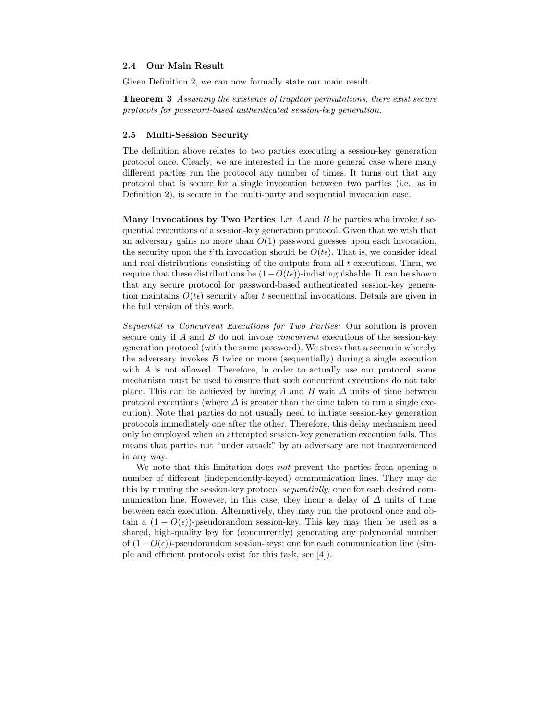## 2.4 Our Main Result

Given Definition 2, we can now formally state our main result.

Theorem 3 Assuming the existence of trapdoor permutations, there exist secure protocols for password-based authenticated session-key generation.

#### 2.5 Multi-Session Security

The definition above relates to two parties executing a session-key generation protocol once. Clearly, we are interested in the more general case where many different parties run the protocol any number of times. It turns out that any protocol that is secure for a single invocation between two parties (i.e., as in Definition 2), is secure in the multi-party and sequential invocation case.

Many Invocations by Two Parties Let  $A$  and  $B$  be parties who invoke  $t$  sequential executions of a session-key generation protocol. Given that we wish that an adversary gains no more than  $O(1)$  password guesses upon each invocation, the security upon the t'th invocation should be  $O(t\epsilon)$ . That is, we consider ideal and real distributions consisting of the outputs from all  $t$  executions. Then, we require that these distributions be  $(1-O(t\epsilon))$ -indistinguishable. It can be shown that any secure protocol for password-based authenticated session-key generation maintains  $O(t\epsilon)$  security after t sequential invocations. Details are given in the full version of this work.

Sequential vs Concurrent Executions for Two Parties: Our solution is proven secure only if A and B do not invoke concurrent executions of the session-key generation protocol (with the same password). We stress that a scenario whereby the adversary invokes  $B$  twice or more (sequentially) during a single execution with A is not allowed. Therefore, in order to actually use our protocol, some mechanism must be used to ensure that such concurrent executions do not take place. This can be achieved by having A and B wait  $\Delta$  units of time between protocol executions (where  $\Delta$  is greater than the time taken to run a single execution). Note that parties do not usually need to initiate session-key generation protocols immediately one after the other. Therefore, this delay mechanism need only be employed when an attempted session-key generation execution fails. This means that parties not "under attack" by an adversary are not inconvenienced in any way.

We note that this limitation does *not* prevent the parties from opening a number of different (independently-keyed) communication lines. They may do this by running the session-key protocol sequentially, once for each desired communication line. However, in this case, they incur a delay of  $\Delta$  units of time between each execution. Alternatively, they may run the protocol once and obtain a  $(1 - O(\epsilon))$ -pseudorandom session-key. This key may then be used as a shared, high-quality key for (concurrently) generating any polynomial number of  $(1 - O(\epsilon))$ -pseudorandom session-keys; one for each communication line (simple and efficient protocols exist for this task, see [4]).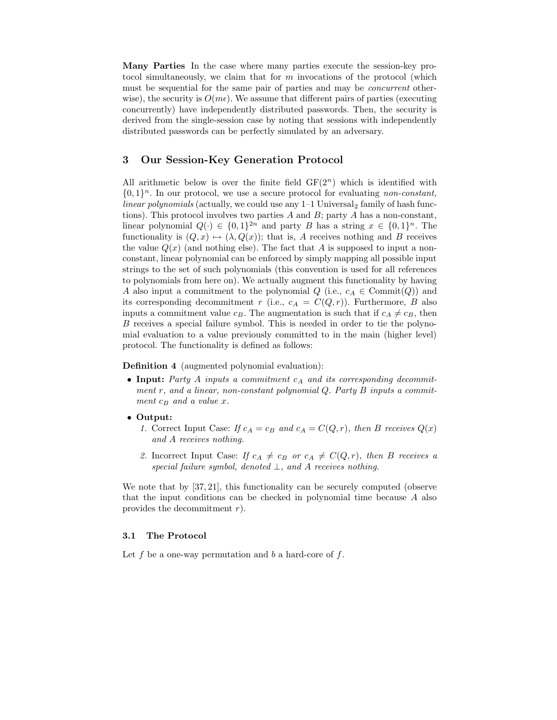Many Parties In the case where many parties execute the session-key protocol simultaneously, we claim that for  $m$  invocations of the protocol (which must be sequential for the same pair of parties and may be *concurrent* otherwise), the security is  $O(m\epsilon)$ . We assume that different pairs of parties (executing concurrently) have independently distributed passwords. Then, the security is derived from the single-session case by noting that sessions with independently distributed passwords can be perfectly simulated by an adversary.

# 3 Our Session-Key Generation Protocol

All arithmetic below is over the finite field  $GF(2<sup>n</sup>)$  which is identified with  ${0,1}<sup>n</sup>$ . In our protocol, we use a secure protocol for evaluating *non-constant*, *linear polynomials* (actually, we could use any  $1-1$  Universal<sub>2</sub> family of hash functions). This protocol involves two parties  $A$  and  $B$ ; party  $A$  has a non-constant, linear polynomial  $Q(\cdot) \in \{0,1\}^{2n}$  and party B has a string  $x \in \{0,1\}^n$ . The functionality is  $(Q, x) \mapsto (\lambda, Q(x))$ ; that is, A receives nothing and B receives the value  $Q(x)$  (and nothing else). The fact that A is supposed to input a nonconstant, linear polynomial can be enforced by simply mapping all possible input strings to the set of such polynomials (this convention is used for all references to polynomials from here on). We actually augment this functionality by having A also input a commitment to the polynomial  $Q$  (i.e.,  $c_A \in \text{Commit}(Q)$ ) and its corresponding decommitment r (i.e.,  $c_A = C(Q, r)$ ). Furthermore, B also inputs a commitment value  $c_B$ . The augmentation is such that if  $c_A \neq c_B$ , then B receives a special failure symbol. This is needed in order to tie the polynomial evaluation to a value previously committed to in the main (higher level) protocol. The functionality is defined as follows:

Definition 4 (augmented polynomial evaluation):

• Input: Party  $A$  inputs a commitment  $c_A$  and its corresponding decommitment r, and a linear, non-constant polynomial Q. Party B inputs a commitment  $c_B$  and a value x.

#### • Output:

- 1. Correct Input Case: If  $c_A = c_B$  and  $c_A = C(Q, r)$ , then B receives  $Q(x)$ and A receives nothing.
- 2. Incorrect Input Case: If  $c_A \neq c_B$  or  $c_A \neq C(Q, r)$ , then B receives a special failure symbol, denoted  $\perp$ , and A receives nothing.

We note that by [37, 21], this functionality can be securely computed (observe that the input conditions can be checked in polynomial time because A also provides the decommitment  $r$ ).

# 3.1 The Protocol

Let  $f$  be a one-way permutation and  $b$  a hard-core of  $f$ .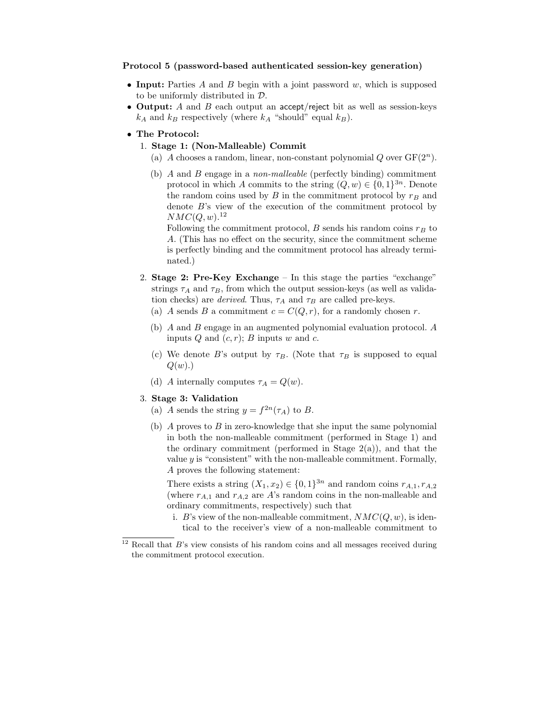#### Protocol 5 (password-based authenticated session-key generation)

- Input: Parties  $A$  and  $B$  begin with a joint password  $w$ , which is supposed to be uniformly distributed in D.
- Output: A and B each output an accept/reject bit as well as session-keys  $k_A$  and  $k_B$  respectively (where  $k_A$  "should" equal  $k_B$ ).

# • The Protocol:

#### 1. Stage 1: (Non-Malleable) Commit

- (a) A chooses a random, linear, non-constant polynomial Q over  $GF(2<sup>n</sup>)$ .
- (b)  $\tilde{A}$  and  $\tilde{B}$  engage in a *non-malleable* (perfectly binding) commitment protocol in which A commits to the string  $(Q, w) \in \{0, 1\}^{3n}$ . Denote the random coins used by  $B$  in the commitment protocol by  $r_B$  and denote B's view of the execution of the commitment protocol by  $NMC(Q, w).$ <sup>12</sup>

Following the commitment protocol,  $B$  sends his random coins  $r_B$  to A. (This has no effect on the security, since the commitment scheme is perfectly binding and the commitment protocol has already terminated.)

- 2. Stage 2: Pre-Key Exchange In this stage the parties "exchange" strings  $\tau_A$  and  $\tau_B$ , from which the output session-keys (as well as validation checks) are *derived*. Thus,  $\tau_A$  and  $\tau_B$  are called pre-keys.
	- (a) A sends B a commitment  $c = C(Q, r)$ , for a randomly chosen r.
	- (b) A and B engage in an augmented polynomial evaluation protocol. A inputs Q and  $(c, r)$ ; B inputs w and c.
	- (c) We denote B's output by  $\tau_B$ . (Note that  $\tau_B$  is supposed to equal  $Q(w)$ .)
	- (d) A internally computes  $\tau_A = Q(w)$ .

#### 3. Stage 3: Validation

- (a) A sends the string  $y = f^{2n}(\tau_A)$  to B.
- (b) A proves to B in zero-knowledge that she input the same polynomial in both the non-malleable commitment (performed in Stage 1) and the ordinary commitment (performed in Stage  $2(a)$ ), and that the value  $y$  is "consistent" with the non-malleable commitment. Formally, A proves the following statement:

There exists a string  $(X_1, x_2) \in \{0, 1\}^{3n}$  and random coins  $r_{A,1}, r_{A,2}$ (where  $r_{A,1}$  and  $r_{A,2}$  are A's random coins in the non-malleable and ordinary commitments, respectively) such that

i. B's view of the non-malleable commitment,  $NMC(Q, w)$ , is identical to the receiver's view of a non-malleable commitment to

 $12$  Recall that  $B$ 's view consists of his random coins and all messages received during the commitment protocol execution.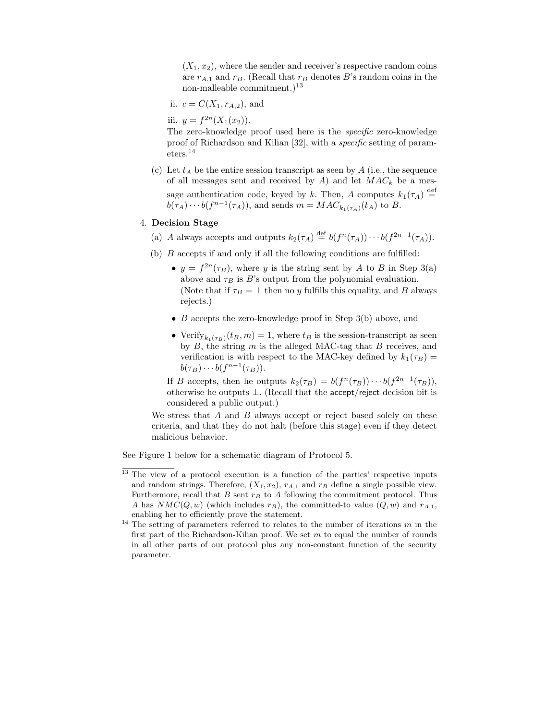$(X_1, x_2)$ , where the sender and receiver's respective random coins are  $r_{A,1}$  and  $r_B$ . (Recall that  $r_B$  denotes B's random coins in the non-malleable commitment.)<sup>13</sup>

ii.  $c = C(X_1, r_{A,2})$ , and

iii.  $y = f^{2n}(X_1(x_2)).$ 

The zero-knowledge proof used here is the specific zero-knowledge proof of Richardson and Kilian [32], with a *specific* setting of parameters.<sup>14</sup>

(c) Let  $t_A$  be the entire session transcript as seen by A (i.e., the sequence of all messages sent and received by  $A$ ) and let  $MAC<sub>k</sub>$  be a message authentication code, keyed by k. Then, A computes  $k_1(\tau_A) \stackrel{\text{def}}{=}$  $b(\tau_A)\cdots b(f^{n-1}(\tau_A)),$  and sends  $m = MAC_{k_1(\tau_A)}(t_A)$  to B.

# 4. Decision Stage

(a) A always accepts and outputs  $k_2(\tau_A) \stackrel{\text{def}}{=} b(f^n(\tau_A)) \cdots b(f^{2n-1}(\tau_A)).$ 

- (b)  $B$  accepts if and only if all the following conditions are fulfilled:
	- $y = f^{2n}(\tau_B)$ , where y is the string sent by A to B in Step 3(a) above and  $\tau_B$  is B's output from the polynomial evaluation. (Note that if  $\tau_B = \bot$  then no y fulfills this equality, and B always rejects.)
	- $B$  accepts the zero-knowledge proof in Step 3(b) above, and
	- Verify $k_1(\tau_B)(t_B, m) = 1$ , where  $t_B$  is the session-transcript as seen by  $B$ , the string  $m$  is the alleged MAC-tag that  $B$  receives, and verification is with respect to the MAC-key defined by  $k_1(\tau_B)$  =  $b(\tau_B)\cdots b(f^{n-1}(\tau_B)).$

If B accepts, then he outputs  $k_2(\tau_B) = b(f^n(\tau_B)) \cdots b(f^{2n-1}(\tau_B)),$ otherwise he outputs ⊥. (Recall that the accept/reject decision bit is considered a public output.)

We stress that  $A$  and  $B$  always accept or reject based solely on these criteria, and that they do not halt (before this stage) even if they detect malicious behavior.

See Figure 1 below for a schematic diagram of Protocol 5.

<sup>&</sup>lt;sup>13</sup> The view of a protocol execution is a function of the parties' respective inputs and random strings. Therefore,  $(X_1, x_2)$ ,  $r_{A,1}$  and  $r_B$  define a single possible view. Furthermore, recall that  $B$  sent  $r_B$  to  $A$  following the commitment protocol. Thus A has  $NMC(Q, w)$  (which includes  $r_B$ ), the committed-to value  $(Q, w)$  and  $r_{A,1}$ , enabling her to efficiently prove the statement.

 $14$  The setting of parameters referred to relates to the number of iterations  $m$  in the first part of the Richardson-Kilian proof. We set  $m$  to equal the number of rounds in all other parts of our protocol plus any non-constant function of the security parameter.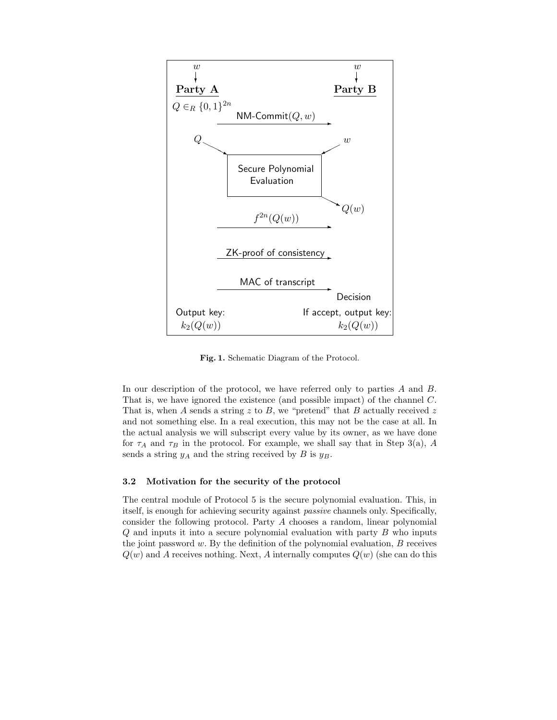

Fig. 1. Schematic Diagram of the Protocol.

In our description of the protocol, we have referred only to parties A and B. That is, we have ignored the existence (and possible impact) of the channel C. That is, when  $A$  sends a string  $z$  to  $B$ , we "pretend" that  $B$  actually received  $z$ and not something else. In a real execution, this may not be the case at all. In the actual analysis we will subscript every value by its owner, as we have done for  $\tau_A$  and  $\tau_B$  in the protocol. For example, we shall say that in Step 3(a), A sends a string  $y_A$  and the string received by B is  $y_B$ .

# 3.2 Motivation for the security of the protocol

The central module of Protocol 5 is the secure polynomial evaluation. This, in itself, is enough for achieving security against passive channels only. Specifically, consider the following protocol. Party A chooses a random, linear polynomial  $Q$  and inputs it into a secure polynomial evaluation with party  $B$  who inputs the joint password  $w$ . By the definition of the polynomial evaluation,  $B$  receives  $Q(w)$  and A receives nothing. Next, A internally computes  $Q(w)$  (she can do this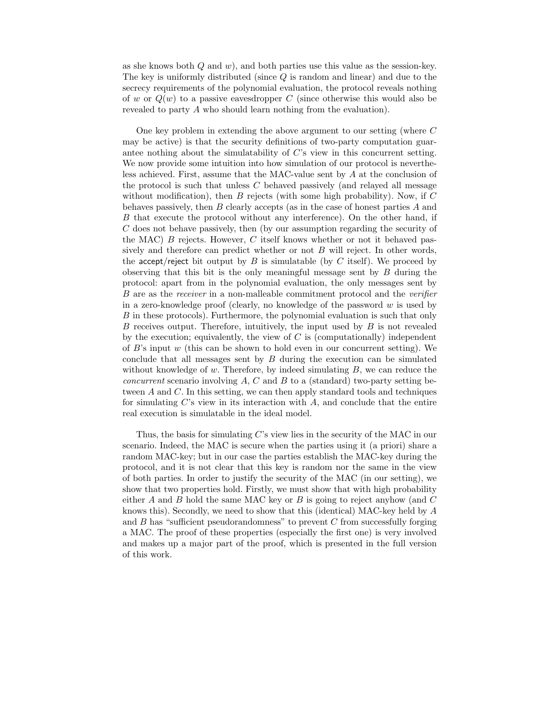as she knows both  $Q$  and  $w$ ), and both parties use this value as the session-key. The key is uniformly distributed (since Q is random and linear) and due to the secrecy requirements of the polynomial evaluation, the protocol reveals nothing of w or  $Q(w)$  to a passive eavesdropper C (since otherwise this would also be revealed to party A who should learn nothing from the evaluation).

One key problem in extending the above argument to our setting (where C may be active) is that the security definitions of two-party computation guarantee nothing about the simulatability of  $C$ 's view in this concurrent setting. We now provide some intuition into how simulation of our protocol is nevertheless achieved. First, assume that the MAC-value sent by A at the conclusion of the protocol is such that unless  $C$  behaved passively (and relayed all message without modification), then  $B$  rejects (with some high probability). Now, if  $C$ behaves passively, then B clearly accepts (as in the case of honest parties A and B that execute the protocol without any interference). On the other hand, if C does not behave passively, then (by our assumption regarding the security of the MAC)  $B$  rejects. However,  $C$  itself knows whether or not it behaved passively and therefore can predict whether or not  $B$  will reject. In other words, the accept/reject bit output by B is simulatable (by C itself). We proceed by observing that this bit is the only meaningful message sent by  $B$  during the protocol: apart from in the polynomial evaluation, the only messages sent by B are as the receiver in a non-malleable commitment protocol and the verifier in a zero-knowledge proof (clearly, no knowledge of the password  $w$  is used by B in these protocols). Furthermore, the polynomial evaluation is such that only  $B$  receives output. Therefore, intuitively, the input used by  $B$  is not revealed by the execution; equivalently, the view of  $C$  is (computationally) independent of  $B$ 's input  $w$  (this can be shown to hold even in our concurrent setting). We conclude that all messages sent by  $B$  during the execution can be simulated without knowledge of  $w$ . Therefore, by indeed simulating  $B$ , we can reduce the *concurrent* scenario involving  $A, C$  and  $B$  to a (standard) two-party setting between A and C. In this setting, we can then apply standard tools and techniques for simulating  $C$ 's view in its interaction with  $A$ , and conclude that the entire real execution is simulatable in the ideal model.

Thus, the basis for simulating C's view lies in the security of the MAC in our scenario. Indeed, the MAC is secure when the parties using it (a priori) share a random MAC-key; but in our case the parties establish the MAC-key during the protocol, and it is not clear that this key is random nor the same in the view of both parties. In order to justify the security of the MAC (in our setting), we show that two properties hold. Firstly, we must show that with high probability either A and B hold the same MAC key or B is going to reject anyhow (and C knows this). Secondly, we need to show that this (identical) MAC-key held by A and  $B$  has "sufficient pseudorandomness" to prevent  $C$  from successfully forging a MAC. The proof of these properties (especially the first one) is very involved and makes up a major part of the proof, which is presented in the full version of this work.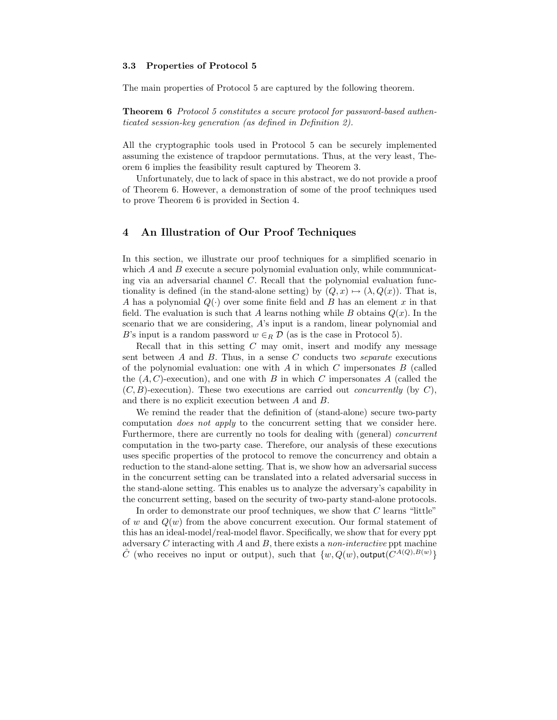#### 3.3 Properties of Protocol 5

The main properties of Protocol 5 are captured by the following theorem.

Theorem 6 Protocol 5 constitutes a secure protocol for password-based authenticated session-key generation (as defined in Definition 2).

All the cryptographic tools used in Protocol 5 can be securely implemented assuming the existence of trapdoor permutations. Thus, at the very least, Theorem 6 implies the feasibility result captured by Theorem 3.

Unfortunately, due to lack of space in this abstract, we do not provide a proof of Theorem 6. However, a demonstration of some of the proof techniques used to prove Theorem 6 is provided in Section 4.

# 4 An Illustration of Our Proof Techniques

In this section, we illustrate our proof techniques for a simplified scenario in which  $A$  and  $B$  execute a secure polynomial evaluation only, while communicating via an adversarial channel  $C$ . Recall that the polynomial evaluation functionality is defined (in the stand-alone setting) by  $(Q, x) \mapsto (\lambda, Q(x))$ . That is, A has a polynomial  $Q(\cdot)$  over some finite field and B has an element x in that field. The evaluation is such that A learns nothing while B obtains  $Q(x)$ . In the scenario that we are considering, A's input is a random, linear polynomial and B's input is a random password  $w \in_R \mathcal{D}$  (as is the case in Protocol 5).

Recall that in this setting  $C$  may omit, insert and modify any message sent between  $A$  and  $B$ . Thus, in a sense  $C$  conducts two *separate* executions of the polynomial evaluation: one with  $A$  in which  $C$  impersonates  $B$  (called the  $(A, C)$ -execution), and one with B in which C impersonates A (called the  $(C, B)$ -execution). These two executions are carried out *concurrently* (by C), and there is no explicit execution between A and B.

We remind the reader that the definition of (stand-alone) secure two-party computation does not apply to the concurrent setting that we consider here. Furthermore, there are currently no tools for dealing with (general) concurrent computation in the two-party case. Therefore, our analysis of these executions uses specific properties of the protocol to remove the concurrency and obtain a reduction to the stand-alone setting. That is, we show how an adversarial success in the concurrent setting can be translated into a related adversarial success in the stand-alone setting. This enables us to analyze the adversary's capability in the concurrent setting, based on the security of two-party stand-alone protocols.

In order to demonstrate our proof techniques, we show that  $C$  learns "little" of w and  $Q(w)$  from the above concurrent execution. Our formal statement of this has an ideal-model/real-model flavor. Specifically, we show that for every ppt adversary C interacting with A and B, there exists a non-interactive ppt machine  $\hat{C}$  (who receives no input or output), such that  $\{w, Q(w), \textsf{output}(C^{A(Q),B(w)}\}$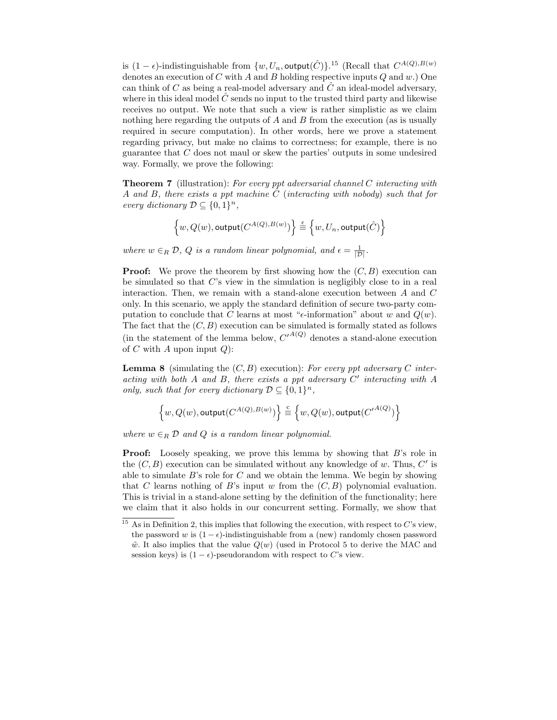is  $(1 - \epsilon)$ -indistinguishable from  $\{w, U_n, \text{output}(\hat{C})\}$ .<sup>15</sup> (Recall that  $C^{A(Q), B(w)}$ denotes an execution of C with A and B holding respective inputs  $Q$  and  $w$ .) One can think of C as being a real-model adversary and  $\ddot{C}$  an ideal-model adversary, where in this ideal model  $\tilde{C}$  sends no input to the trusted third party and likewise receives no output. We note that such a view is rather simplistic as we claim nothing here regarding the outputs of  $A$  and  $B$  from the execution (as is usually required in secure computation). In other words, here we prove a statement regarding privacy, but make no claims to correctness; for example, there is no guarantee that C does not maul or skew the parties' outputs in some undesired way. Formally, we prove the following:

**Theorem 7** (illustration): For every ppt adversarial channel  $C$  interacting with A and B, there exists a ppt machine  $\hat{C}$  (interacting with nobody) such that for every dictionary  $\mathcal{D} \subseteq \{0,1\}^n$ ,

$$
\Big\{ w, Q(w), \mathsf{output}(C^{A(Q), B(w)}) \Big\} \stackrel{\epsilon}{\equiv} \Big\{ w, U_n, \mathsf{output}(\hat{C}) \Big\}
$$

where  $w \in_R \mathcal{D}$ ,  $Q$  is a random linear polynomial, and  $\epsilon = \frac{1}{|\mathcal{D}|}$ .

**Proof:** We prove the theorem by first showing how the  $(C, B)$  execution can be simulated so that  $C$ 's view in the simulation is negligibly close to in a real interaction. Then, we remain with a stand-alone execution between A and C only. In this scenario, we apply the standard definition of secure two-party computation to conclude that C learns at most " $\epsilon$ -information" about w and  $Q(w)$ . The fact that the  $(C, B)$  execution can be simulated is formally stated as follows (in the statement of the lemma below,  $C'^{A(Q)}$  denotes a stand-alone execution of  $C$  with  $A$  upon input  $Q$ :

**Lemma 8** (simulating the  $(C, B)$  execution): For every ppt adversary C interacting with both  $A$  and  $B$ , there exists a ppt adversary  $C'$  interacting with  $A$ only, such that for every dictionary  $\mathcal{D} \subseteq \{0,1\}^n$ ,

$$
\left\{w,Q(w),\mathsf{output}(C^{A(Q),B(w)})\right\}\overset{c}{\equiv}\left\{w,Q(w),\mathsf{output}(C^{\prime^{A(Q)}})\right\}
$$

where  $w \in_R \mathcal{D}$  and  $Q$  is a random linear polynomial.

**Proof:** Loosely speaking, we prove this lemma by showing that B's role in the  $(C, B)$  execution can be simulated without any knowledge of w. Thus,  $C'$  is able to simulate  $B$ 's role for  $C$  and we obtain the lemma. We begin by showing that C learns nothing of B's input w from the  $(C, B)$  polynomial evaluation. This is trivial in a stand-alone setting by the definition of the functionality; here we claim that it also holds in our concurrent setting. Formally, we show that

 $\frac{15}{15}$  As in Definition 2, this implies that following the execution, with respect to C's view, the password w is  $(1 - \epsilon)$ -indistinguishable from a (new) randomly chosen password  $\tilde{w}$ . It also implies that the value  $Q(w)$  (used in Protocol 5 to derive the MAC and session keys) is  $(1 - \epsilon)$ -pseudorandom with respect to C's view.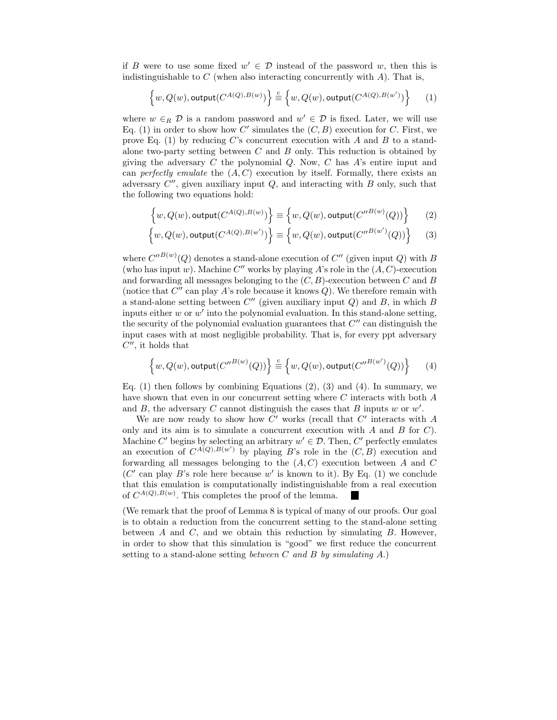if B were to use some fixed  $w' \in \mathcal{D}$  instead of the password w, then this is indistinguishable to  $C$  (when also interacting concurrently with  $A$ ). That is,

$$
\left\{w, Q(w), \mathsf{output}(C^{A(Q), B(w)})\right\} \stackrel{\text{c}}{=} \left\{w, Q(w), \mathsf{output}(C^{A(Q), B(w')})\right\} \tag{1}
$$

where  $w \in_R \mathcal{D}$  is a random password and  $w' \in \mathcal{D}$  is fixed. Later, we will use Eq. (1) in order to show how  $C'$  simulates the  $(C, B)$  execution for C. First, we prove Eq. (1) by reducing  $C$ 's concurrent execution with A and B to a standalone two-party setting between  $C$  and  $B$  only. This reduction is obtained by giving the adversary  $C$  the polynomial  $Q$ . Now,  $C$  has  $A$ 's entire input and can *perfectly emulate* the  $(A, C)$  execution by itself. Formally, there exists an adversary  $C''$ , given auxiliary input  $Q$ , and interacting with  $B$  only, such that the following two equations hold:

$$
\left\{w, Q(w), \text{output}(C^{A(Q), B(w)})\right\} \equiv \left\{w, Q(w), \text{output}(C''^{B(w)}(Q))\right\} \tag{2}
$$

$$
\Big\{w,Q(w),\mathsf{output}(C^{A(Q),B(w')})\Big\}\equiv\Big\{w,Q(w),\mathsf{output}(C''^{B(w')}(Q))\Big\}\qquad(3)
$$

where  $C''^{B(w)}(Q)$  denotes a stand-alone execution of  $C''$  (given input Q) with B (who has input w). Machine  $C''$  works by playing A's role in the  $(A, C)$ -execution and forwarding all messages belonging to the  $(C, B)$ -execution between C and B (notice that  $C''$  can play  $A$ 's role because it knows  $Q$ ). We therefore remain with a stand-alone setting between  $C''$  (given auxiliary input  $Q$ ) and  $B$ , in which  $B$ inputs either  $w$  or  $w'$  into the polynomial evaluation. In this stand-alone setting, the security of the polynomial evaluation guarantees that  $C''$  can distinguish the input cases with at most negligible probability. That is, for every ppt adversary  $C''$ , it holds that

$$
\left\{w, Q(w), \text{output}(C''^{B(w)}(Q))\right\} \stackrel{c}{\equiv} \left\{w, Q(w), \text{output}(C''^{B(w')}(Q))\right\} \tag{4}
$$

Eq.  $(1)$  then follows by combining Equations  $(2)$ ,  $(3)$  and  $(4)$ . In summary, we have shown that even in our concurrent setting where C interacts with both A and  $B$ , the adversary  $C$  cannot distinguish the cases that  $B$  inputs  $w$  or  $w'$ .

We are now ready to show how  $C'$  works (recall that  $C'$  interacts with  $A$ only and its aim is to simulate a concurrent execution with A and B for C). Machine C' begins by selecting an arbitrary  $w' \in \mathcal{D}$ . Then, C' perfectly emulates an execution of  $C^{A(Q),B(w')}$  by playing B's role in the  $(C, B)$  execution and forwarding all messages belonging to the  $(A, C)$  execution between A and C  $(C'$  can play B's role here because w' is known to it). By Eq. (1) we conclude that this emulation is computationally indistinguishable from a real execution of  $C^{A(Q),B(w)}$ . This completes the proof of the lemma. **The Contract of the Contract of the Contract of the Contract of the Contract of the Contract of the Contract o** 

(We remark that the proof of Lemma 8 is typical of many of our proofs. Our goal is to obtain a reduction from the concurrent setting to the stand-alone setting between  $A$  and  $C$ , and we obtain this reduction by simulating  $B$ . However, in order to show that this simulation is "good" we first reduce the concurrent setting to a stand-alone setting *between*  $C$  and  $B$  by simulating  $A$ .)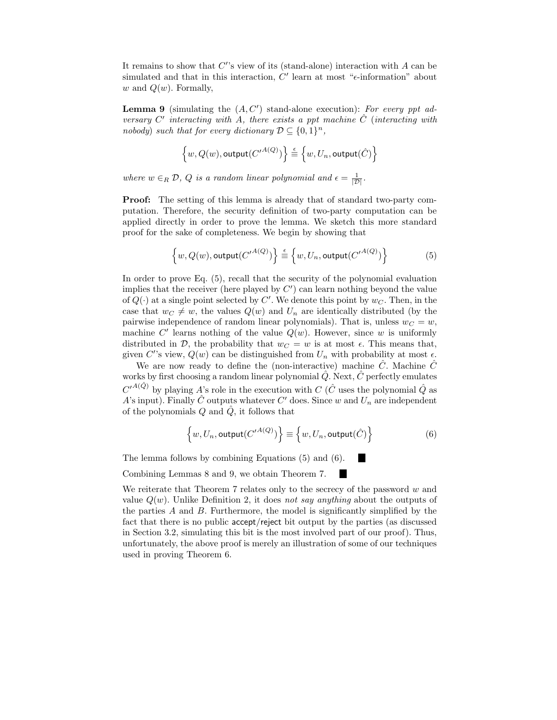It remains to show that  $C$ ''s view of its (stand-alone) interaction with  $A$  can be simulated and that in this interaction,  $C'$  learn at most " $\epsilon$ -information" about w and  $Q(w)$ . Formally,

**Lemma 9** (simulating the  $(A, C')$  stand-alone execution): For every ppt adversary  $C'$  interacting with  $A$ , there exists a ppt machine  $\hat{C}$  (interacting with nobody) such that for every dictionary  $D \subseteq \{0,1\}^n$ ,

$$
\left\{w, Q(w), \mathsf{output}(C'^{A(Q)})\right\} \stackrel{\epsilon}{\equiv} \left\{w, U_n, \mathsf{output}(\hat{C})\right\}
$$

where  $w \in_R \mathcal{D}$ , Q is a random linear polynomial and  $\epsilon = \frac{1}{|\mathcal{D}|}$ .

Proof: The setting of this lemma is already that of standard two-party computation. Therefore, the security definition of two-party computation can be applied directly in order to prove the lemma. We sketch this more standard proof for the sake of completeness. We begin by showing that

$$
\left\{w, Q(w), \text{output}(C'^{A(Q)})\right\} \stackrel{\epsilon}{=} \left\{w, U_n, \text{output}(C'^{A(Q)})\right\}
$$
 (5)

In order to prove Eq. (5), recall that the security of the polynomial evaluation implies that the receiver (here played by  $C'$ ) can learn nothing beyond the value of  $Q(\cdot)$  at a single point selected by C'. We denote this point by  $w_C$ . Then, in the case that  $w_C \neq w$ , the values  $Q(w)$  and  $U_n$  are identically distributed (by the pairwise independence of random linear polynomials). That is, unless  $w_C = w$ , machine  $C'$  learns nothing of the value  $Q(w)$ . However, since w is uniformly distributed in  $\mathcal{D}$ , the probability that  $w_C = w$  is at most  $\epsilon$ . This means that, given C''s view,  $Q(w)$  can be distinguished from  $U_n$  with probability at most  $\epsilon$ .

We are now ready to define the (non-interactive) machine  $\hat{C}$ . Machine  $\hat{C}$ works by first choosing a random linear polynomial  $\hat{Q}$ . Next,  $\hat{C}$  perfectly emulates  $C^{A(\hat{Q})}$  by playing A's role in the execution with C ( $\hat{C}$  uses the polynomial  $\hat{Q}$  as A's input). Finally  $\hat{C}$  outputs whatever  $C'$  does. Since w and  $U_n$  are independent of the polynomials  $Q$  and  $\hat{Q}$ , it follows that

$$
\left\{w, U_n, \text{output}(C'^{A(Q)})\right\} \equiv \left\{w, U_n, \text{output}(\hat{C})\right\}
$$
 (6)

The lemma follows by combining Equations (5) and (6). п

Combining Lemmas 8 and 9, we obtain Theorem 7.

We reiterate that Theorem 7 relates only to the secrecy of the password  $w$  and value  $Q(w)$ . Unlike Definition 2, it does not say anything about the outputs of the parties  $A$  and  $B$ . Furthermore, the model is significantly simplified by the fact that there is no public accept/reject bit output by the parties (as discussed in Section 3.2, simulating this bit is the most involved part of our proof). Thus, unfortunately, the above proof is merely an illustration of some of our techniques used in proving Theorem 6.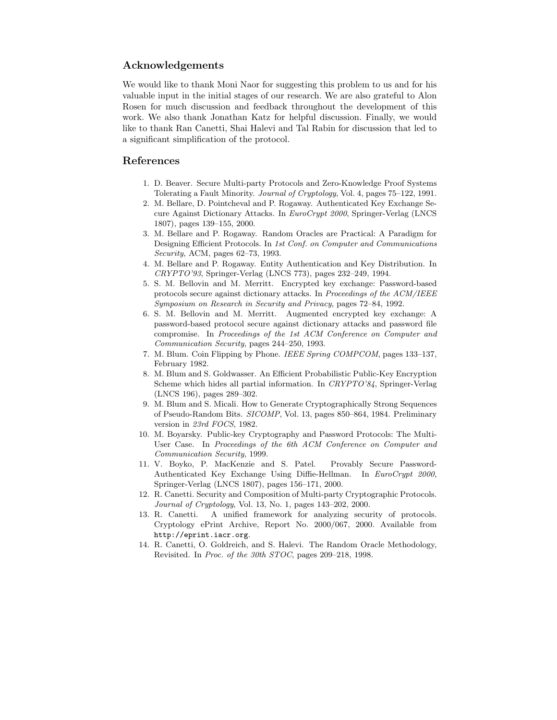# Acknowledgements

We would like to thank Moni Naor for suggesting this problem to us and for his valuable input in the initial stages of our research. We are also grateful to Alon Rosen for much discussion and feedback throughout the development of this work. We also thank Jonathan Katz for helpful discussion. Finally, we would like to thank Ran Canetti, Shai Halevi and Tal Rabin for discussion that led to a significant simplification of the protocol.

# References

- 1. D. Beaver. Secure Multi-party Protocols and Zero-Knowledge Proof Systems Tolerating a Fault Minority. Journal of Cryptology, Vol. 4, pages 75–122, 1991.
- 2. M. Bellare, D. Pointcheval and P. Rogaway. Authenticated Key Exchange Secure Against Dictionary Attacks. In EuroCrypt 2000, Springer-Verlag (LNCS 1807), pages 139–155, 2000.
- 3. M. Bellare and P. Rogaway. Random Oracles are Practical: A Paradigm for Designing Efficient Protocols. In 1st Conf. on Computer and Communications Security, ACM, pages 62–73, 1993.
- 4. M. Bellare and P. Rogaway. Entity Authentication and Key Distribution. In CRYPTO'93, Springer-Verlag (LNCS 773), pages 232–249, 1994.
- 5. S. M. Bellovin and M. Merritt. Encrypted key exchange: Password-based protocols secure against dictionary attacks. In Proceedings of the ACM/IEEE Symposium on Research in Security and Privacy, pages 72–84, 1992.
- 6. S. M. Bellovin and M. Merritt. Augmented encrypted key exchange: A password-based protocol secure against dictionary attacks and password file compromise. In Proceedings of the 1st ACM Conference on Computer and Communication Security, pages 244–250, 1993.
- 7. M. Blum. Coin Flipping by Phone. IEEE Spring COMPCOM, pages 133–137, February 1982.
- 8. M. Blum and S. Goldwasser. An Efficient Probabilistic Public-Key Encryption Scheme which hides all partial information. In CRYPTO'84, Springer-Verlag (LNCS 196), pages 289–302.
- 9. M. Blum and S. Micali. How to Generate Cryptographically Strong Sequences of Pseudo-Random Bits. SICOMP, Vol. 13, pages 850–864, 1984. Preliminary version in 23rd FOCS, 1982.
- 10. M. Boyarsky. Public-key Cryptography and Password Protocols: The Multi-User Case. In Proceedings of the 6th ACM Conference on Computer and Communication Security, 1999.
- 11. V. Boyko, P. MacKenzie and S. Patel. Provably Secure Password-Authenticated Key Exchange Using Diffie-Hellman. In EuroCrypt 2000, Springer-Verlag (LNCS 1807), pages 156–171, 2000.
- 12. R. Canetti. Security and Composition of Multi-party Cryptographic Protocols. Journal of Cryptology, Vol. 13, No. 1, pages 143–202, 2000.
- 13. R. Canetti. A unified framework for analyzing security of protocols. Cryptology ePrint Archive, Report No. 2000/067, 2000. Available from http://eprint.iacr.org.
- 14. R. Canetti, O. Goldreich, and S. Halevi. The Random Oracle Methodology, Revisited. In Proc. of the 30th STOC, pages 209–218, 1998.